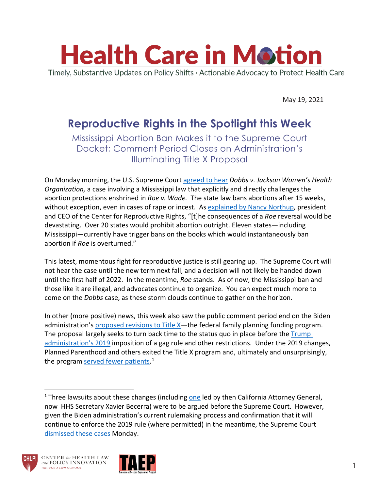

May 19, 2021

## **Reproductive Rights in the Spotlight this Week**

Mississippi Abortion Ban Makes it to the Supreme Court Docket; Comment Period Closes on Administration's Illuminating Title X Proposal

On Monday morning, the U.S. Supreme Court [agreed to hear](https://www.supremecourt.gov/orders/courtorders/051721zor_6537.pdf) *Dobbs v. Jackson Women's Health Organization,* a case involving a Mississippi law that explicitly and directly challenges the abortion protections enshrined in *Roe v. Wade.* The state law bans abortions after 15 weeks, without exception, even in cases of rape or incest. As [explained by Nancy Northup,](https://reproductiverights.org/supreme-court-to-hear-abortion-ban-case-challenging-roe-v-wade/) president and CEO of the Center for Reproductive Rights, "[t]he consequences of a *Roe* reversal would be devastating. Over 20 states would prohibit abortion outright. Eleven states—including Mississippi—currently have trigger bans on the books which would instantaneously ban abortion if *Roe* is overturned."

This latest, momentous fight for reproductive justice is still gearing up. The Supreme Court will not hear the case until the new term next fall, and a decision will not likely be handed down until the first half of 2022. In the meantime, *Roe* stands. As of now, the Mississippi ban and those like it are illegal, and advocates continue to organize. You can expect much more to come on the *Dobbs* case, as these storm clouds continue to gather on the horizon.

In other (more positive) news, this week also saw the public comment period end on the Biden administration's [proposed revisions to Title X—](https://www.federalregister.gov/documents/2021/04/15/2021-07762/ensuring-access-to-equitable-affordable-client-centered-quality-family-planning-services)the federal family planning funding program. The proposal largely seeks to turn back time to the status quo in place before the [Trump](https://www.chlpi.org/wp-content/uploads/2013/12/HCIM_3_06_2019.pdf)  [administration's 2019](https://www.chlpi.org/wp-content/uploads/2013/12/HCIM_3_06_2019.pdf) imposition of a gag rule and other restrictions. Under the 2019 changes, Planned Parenthood and others exited the Title X program and, ultimately and unsurprisingly, the program [served fewer patients.](https://www.kff.org/womens-health-policy/issue-brief/current-status-of-the-title-x-network-and-the-path-forward/)<sup>[1](#page-0-0)</sup>

<span id="page-0-0"></span><sup>&</sup>lt;sup>1</sup> Three lawsuits about these changes (including [one](https://oag.ca.gov/news/press-releases/attorney-general-becerra-files-lawsuit-challenging-trump-pence-administration%E2%80%99s#:%7E:text=SACRAMENTO%20%E2%80%93%20California%20Attorney%20General%20Xavier%20Becerra%20today,accurate%20information%20for%20patients%20and%20referrals%20for%20abortion.) led by then California Attorney General, now HHS Secretary Xavier Becerra) were to be argued before the Supreme Court. However, given the Biden administration's current rulemaking process and confirmation that it will continue to enforce the 2019 rule (where permitted) in the meantime, the Supreme Court [dismissed these cases](https://www.scotusblog.com/2021/05/court-dismisses-abortion-gag-rule-cases-adds-arbitration-and-habeas-cases-to-docket/) Monday.



l

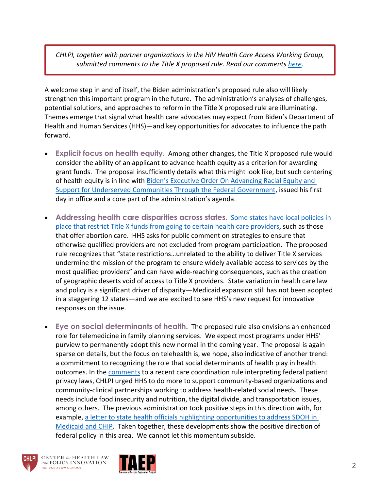*CHLPI, together with partner organizations in the HIV Health Care Access Working Group, submitted comments to the Title X proposed rule. Read our comments [here.](https://www.chlpi.org/wp-content/uploads/2013/12/HHCAWG-Title-X-Comment-Letter-FINAL.pdf)*

A welcome step in and of itself, the Biden administration's proposed rule also will likely strengthen this important program in the future. The administration's analyses of challenges, potential solutions, and approaches to reform in the Title X proposed rule are illuminating. Themes emerge that signal what health care advocates may expect from Biden's Department of Health and Human Services (HHS)—and key opportunities for advocates to influence the path forward.

- **Explicit focus on health equity.** Among other changes, the Title X proposed rule would consider the ability of an applicant to advance health equity as a criterion for awarding grant funds. The proposal insufficiently details what this might look like, but such centering of health equity is in line with [Biden's Executive Order On Advancing Racial Equity and](https://www.whitehouse.gov/briefing-room/presidential-actions/2021/01/20/executive-order-advancing-racial-equity-and-support-for-underserved-communities-through-the-federal-government/)  [Support for Underserved Communities Through the Federal Government,](https://www.whitehouse.gov/briefing-room/presidential-actions/2021/01/20/executive-order-advancing-racial-equity-and-support-for-underserved-communities-through-the-federal-government/) issued his first day in office and a core part of the administration's agenda.
- Addressing health care disparities across states. Some states have local policies in [place that restrict Title X funds from going to certain health care providers,](https://www.guttmacher.org/state-policy/explore/state-family-planning-funding-restrictions) such as those that offer abortion care. HHS asks for public comment on strategies to ensure that otherwise qualified providers are not excluded from program participation. The proposed rule recognizes that "state restrictions…unrelated to the ability to deliver Title X services undermine the mission of the program to ensure widely available access to services by the most qualified providers" and can have wide-reaching consequences, such as the creation of geographic deserts void of access to Title X providers. State variation in health care law and policy is a significant driver of disparity—Medicaid expansion still has not been adopted in a staggering 12 states—and we are excited to see HHS's new request for innovative responses on the issue.
- **Eye on social determinants of health.** The proposed rule also envisions an enhanced role for telemedicine in family planning services. We expect most programs under HHS' purview to permanently adopt this new normal in the coming year. The proposal is again sparse on details, but the focus on telehealth is, we hope, also indicative of another trend: a commitment to recognizing the role that social determinants of health play in health outcomes. In the [comments](https://www.healthlawlab.org/wp-content/uploads/2021/05/Public-Comment-from-CHLPI-to-Department-of-Health-and-Human-Services-about-HIPAA.pdf) to a recent care coordination rule interpreting federal patient privacy laws, CHLPI urged HHS to do more to support community-based organizations and community-clinical partnerships working to address health-related social needs. These needs include food insecurity and nutrition, the digital divide, and transportation issues, among others. The previous administration took positive steps in this direction with, for example, [a letter to state health officials highlighting opportunities to address SDOH in](https://www.medicaid.gov/federal-policy-guidance/downloads/sho21001.pdf)  [Medicaid and CHIP.](https://www.medicaid.gov/federal-policy-guidance/downloads/sho21001.pdf) Taken together, these developments show the positive direction of federal policy in this area. We cannot let this momentum subside.